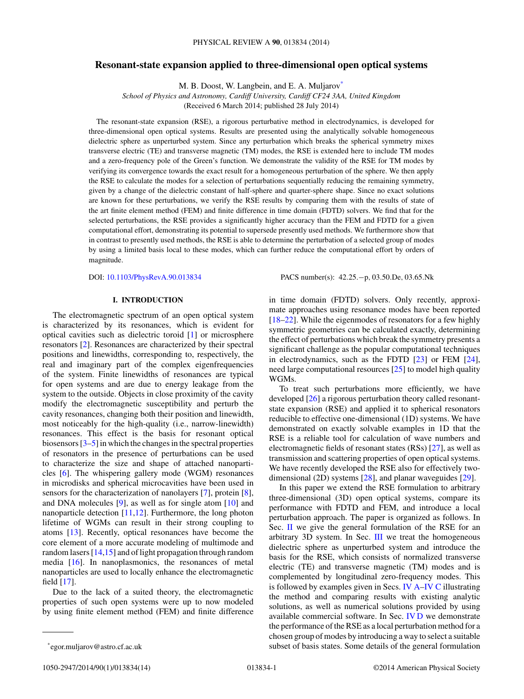# **Resonant-state expansion applied to three-dimensional open optical systems**

M. B. Doost, W. Langbein, and E. A. Muljarov\*

*School of Physics and Astronomy, Cardiff University, Cardiff CF24 3AA, United Kingdom* (Received 6 March 2014; published 28 July 2014)

The resonant-state expansion (RSE), a rigorous perturbative method in electrodynamics, is developed for three-dimensional open optical systems. Results are presented using the analytically solvable homogeneous dielectric sphere as unperturbed system. Since any perturbation which breaks the spherical symmetry mixes transverse electric (TE) and transverse magnetic (TM) modes, the RSE is extended here to include TM modes and a zero-frequency pole of the Green's function. We demonstrate the validity of the RSE for TM modes by verifying its convergence towards the exact result for a homogeneous perturbation of the sphere. We then apply the RSE to calculate the modes for a selection of perturbations sequentially reducing the remaining symmetry, given by a change of the dielectric constant of half-sphere and quarter-sphere shape. Since no exact solutions are known for these perturbations, we verify the RSE results by comparing them with the results of state of the art finite element method (FEM) and finite difference in time domain (FDTD) solvers. We find that for the selected perturbations, the RSE provides a significantly higher accuracy than the FEM and FDTD for a given computational effort, demonstrating its potential to supersede presently used methods. We furthermore show that in contrast to presently used methods, the RSE is able to determine the perturbation of a selected group of modes by using a limited basis local to these modes, which can further reduce the computational effort by orders of magnitude.

DOI: [10.1103/PhysRevA.90.013834](http://dx.doi.org/10.1103/PhysRevA.90.013834) PACS number(s): 42*.*25*.*−p*,* 03*.*50*.*De*,* 03*.*65*.*Nk

### **I. INTRODUCTION**

The electromagnetic spectrum of an open optical system is characterized by its resonances, which is evident for optical cavities such as dielectric toroid [\[1\]](#page-12-0) or microsphere resonators [\[2\]](#page-12-0). Resonances are characterized by their spectral positions and linewidths, corresponding to, respectively, the real and imaginary part of the complex eigenfrequencies of the system. Finite linewidths of resonances are typical for open systems and are due to energy leakage from the system to the outside. Objects in close proximity of the cavity modify the electromagnetic susceptibility and perturb the cavity resonances, changing both their position and linewidth, most noticeably for the high-quality (i.e., narrow-linewidth) resonances. This effect is the basis for resonant optical biosensors [\[3–5\]](#page-12-0) in which the changes in the spectral properties of resonators in the presence of perturbations can be used to characterize the size and shape of attached nanoparticles [\[6\]](#page-12-0). The whispering gallery mode (WGM) resonances in microdisks and spherical microcavities have been used in sensors for the characterization of nanolayers [\[7\]](#page-12-0), protein [\[8\]](#page-12-0), and DNA molecules [\[9\]](#page-12-0), as well as for single atom [\[10\]](#page-12-0) and nanoparticle detection [\[11,12\]](#page-12-0). Furthermore, the long photon lifetime of WGMs can result in their strong coupling to atoms [\[13\]](#page-12-0). Recently, optical resonances have become the core element of a more accurate modeling of multimode and random lasers [\[14,15\]](#page-12-0) and of light propagation through random media [\[16\]](#page-12-0). In nanoplasmonics, the resonances of metal nanoparticles are used to locally enhance the electromagnetic field [\[17\]](#page-13-0).

Due to the lack of a suited theory, the electromagnetic properties of such open systems were up to now modeled by using finite element method (FEM) and finite difference

To treat such perturbations more efficiently, we have developed [\[26\]](#page-13-0) a rigorous perturbation theory called resonantstate expansion (RSE) and applied it to spherical resonators reducible to effective one-dimensional (1D) systems. We have demonstrated on exactly solvable examples in 1D that the RSE is a reliable tool for calculation of wave numbers and electromagnetic fields of resonant states (RSs) [\[27\]](#page-13-0), as well as transmission and scattering properties of open optical systems. We have recently developed the RSE also for effectively twodimensional (2D) systems [\[28\]](#page-13-0), and planar waveguides [\[29\]](#page-13-0).

In this paper we extend the RSE formulation to arbitrary three-dimensional (3D) open optical systems, compare its performance with FDTD and FEM, and introduce a local perturbation approach. The paper is organized as follows. In Sec. [II](#page-1-0) we give the general formulation of the RSE for an arbitrary 3D system. In Sec. [III](#page-2-0) we treat the homogeneous dielectric sphere as unperturbed system and introduce the basis for the RSE, which consists of normalized transverse electric (TE) and transverse magnetic (TM) modes and is complemented by longitudinal zero-frequency modes. This is followed by examples given in Secs. [IV A](#page-3-0)[–IV C](#page-5-0) illustrating the method and comparing results with existing analytic solutions, as well as numerical solutions provided by using available commercial software. In Sec. [IV D](#page-7-0) we demonstrate the performance of the RSE as a local perturbation method for a chosen group of modes by introducing a way to select a suitable subset of basis states. Some details of the general formulation

in time domain (FDTD) solvers. Only recently, approximate approaches using resonance modes have been reported [\[18–22\]](#page-13-0). While the eigenmodes of resonators for a few highly symmetric geometries can be calculated exactly, determining the effect of perturbations which break the symmetry presents a significant challenge as the popular computational techniques in electrodynamics, such as the FDTD [\[23\]](#page-13-0) or FEM [\[24\]](#page-13-0), need large computational resources [\[25\]](#page-13-0) to model high quality WGMs.

<sup>\*</sup>egor.muljarov@astro.cf.ac.uk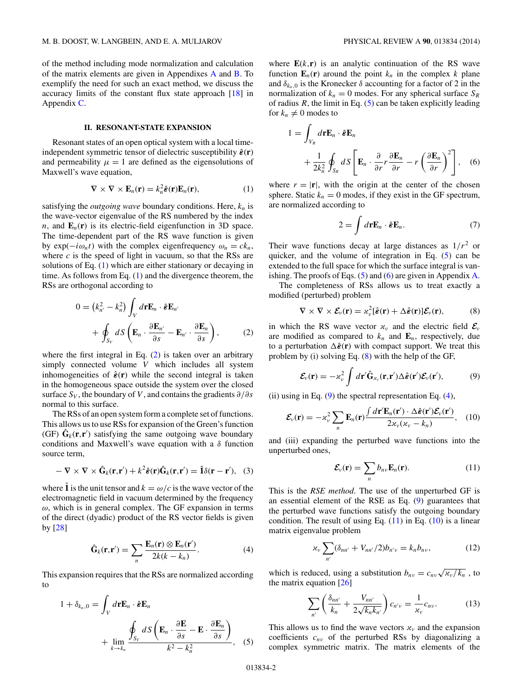<span id="page-1-0"></span>of the method including mode normalization and calculation of the matrix elements are given in [A](#page-9-0)ppendixes  $\overline{A}$  and  $\overline{B}$ . To exemplify the need for such an exact method, we discuss the accuracy limits of the constant flux state approach [\[18\]](#page-13-0) in Appendix [C.](#page-11-0)

### **II. RESONANT-STATE EXPANSION**

Resonant states of an open optical system with a local timeindependent symmetric tensor of dielectric susceptibility *ε*ˆ(**r**) and permeability  $\mu = 1$  are defined as the eigensolutions of Maxwell's wave equation,

$$
\nabla \times \nabla \times \mathbf{E}_n(\mathbf{r}) = k_n^2 \hat{\boldsymbol{\varepsilon}}(\mathbf{r}) \mathbf{E}_n(\mathbf{r}), \tag{1}
$$

satisfying the *outgoing wave* boundary conditions. Here,  $k_n$  is the wave-vector eigenvalue of the RS numbered by the index *n*, and  $\mathbf{E}_n(\mathbf{r})$  is its electric-field eigenfunction in 3D space. The time-dependent part of the RS wave function is given by  $exp(-i\omega_n t)$  with the complex eigenfrequency  $\omega_n = c k_n$ , where  $c$  is the speed of light in vacuum, so that the RSs are solutions of Eq. (1) which are either stationary or decaying in time. As follows from Eq. (1) and the divergence theorem, the RSs are orthogonal according to

$$
0 = (k_{n'}^2 - k_n^2) \int_V d\mathbf{r} \mathbf{E}_n \cdot \hat{\boldsymbol{\varepsilon}} \mathbf{E}_{n'}
$$
  
+ 
$$
\oint_{S_V} dS \left( \mathbf{E}_n \cdot \frac{\partial \mathbf{E}_{n'}}{\partial s} - \mathbf{E}_{n'} \cdot \frac{\partial \mathbf{E}_n}{\partial s} \right),
$$
 (2)

where the first integral in Eq. (2) is taken over an arbitrary simply connected volume *V* which includes all system inhomogeneities of  $\hat{\epsilon}(\mathbf{r})$  while the second integral is taken in the homogeneous space outside the system over the closed surface *SV* , the boundary of *V* , and contains the gradients *∂/∂s* normal to this surface.

The RSs of an open system form a complete set of functions. This allows us to use RSs for expansion of the Green's function (GF)  $\hat{\mathbf{G}}_k(\mathbf{r}, \mathbf{r}')$  satisfying the same outgoing wave boundary conditions and Maxwell's wave equation with a *δ* function source term,

$$
-\nabla \times \nabla \times \hat{\mathbf{G}}_k(\mathbf{r}, \mathbf{r}') + k^2 \hat{\boldsymbol{\varepsilon}}(\mathbf{r}) \hat{\mathbf{G}}_k(\mathbf{r}, \mathbf{r}') = \hat{\mathbf{1}} \delta(\mathbf{r} - \mathbf{r}'), \quad (3)
$$

where  $\hat{\mathbf{l}}$  is the unit tensor and  $k = \omega/c$  is the wave vector of the electromagnetic field in vacuum determined by the frequency *ω*, which is in general complex. The GF expansion in terms of the direct (dyadic) product of the RS vector fields is given by [\[28\]](#page-13-0)

$$
\hat{\mathbf{G}}_k(\mathbf{r}, \mathbf{r}') = \sum_n \frac{\mathbf{E}_n(\mathbf{r}) \otimes \mathbf{E}_n(\mathbf{r}')}{2k(k - k_n)}.
$$
 (4)

This expansion requires that the RSs are normalized according to

$$
1 + \delta_{k_n,0} = \int_V d\mathbf{r} \mathbf{E}_n \cdot \hat{\boldsymbol{\varepsilon}} \mathbf{E}_n
$$
  
+ 
$$
\lim_{k \to k_n} \frac{\oint_{S_V} dS \left( \mathbf{E}_n \cdot \frac{\partial \mathbf{E}}{\partial s} - \mathbf{E} \cdot \frac{\partial \mathbf{E}_n}{\partial s} \right)}{k^2 - k_n^2},
$$
 (5)

where  $E(k,r)$  is an analytic continuation of the RS wave function  $\mathbf{E}_n(\mathbf{r})$  around the point  $k_n$  in the complex k plane and  $\delta_{k,n}$  is the Kronecker  $\delta$  accounting for a factor of 2 in the normalization of  $k_n = 0$  modes. For any spherical surface  $S_R$ of radius  $R$ , the limit in Eq. (5) can be taken explicitly leading for  $k_n \neq 0$  modes to

$$
1 = \int_{V_R} d\mathbf{r} \mathbf{E}_n \cdot \hat{\boldsymbol{\varepsilon}} \mathbf{E}_n
$$
  
+ 
$$
\frac{1}{2k_n^2} \oint_{S_R} dS \left[ \mathbf{E}_n \cdot \frac{\partial}{\partial r} r \frac{\partial \mathbf{E}_n}{\partial r} - r \left( \frac{\partial \mathbf{E}_n}{\partial r} \right)^2 \right], \quad (6)
$$

where  $r = |\mathbf{r}|$ , with the origin at the center of the chosen sphere. Static  $k_n = 0$  modes, if they exist in the GF spectrum, are normalized according to

$$
2 = \int d\mathbf{r} \mathbf{E}_n \cdot \hat{\boldsymbol{\varepsilon}} \mathbf{E}_n. \tag{7}
$$

Their wave functions decay at large distances as  $1/r^2$  or quicker, and the volume of integration in Eq. (5) can be extended to the full space for which the surface integral is vanishing. The proofs of Eqs.  $(5)$  and  $(6)$  are given in Appendix [A.](#page-9-0)

The completeness of RSs allows us to treat exactly a modified (perturbed) problem

$$
\nabla \times \nabla \times \mathcal{E}_{\nu}(\mathbf{r}) = \varkappa_{\nu}^{2} [\hat{\boldsymbol{\varepsilon}}(\mathbf{r}) + \Delta \hat{\boldsymbol{\varepsilon}}(\mathbf{r})] \mathcal{E}_{\nu}(\mathbf{r}), \tag{8}
$$

in which the RS wave vector  $x_v$  and the electric field  $\mathcal{E}_v$ are modified as compared to  $k_n$  and  $\mathbf{E}_n$ , respectively, due to a perturbation  $\Delta \hat{\epsilon}(\mathbf{r})$  with compact support. We treat this problem by (i) solving Eq. (8) with the help of the GF,

$$
\mathcal{E}_{\nu}(\mathbf{r}) = -\varkappa_{\nu}^{2} \int d\mathbf{r}' \hat{\mathbf{G}}_{\varkappa_{\nu}}(\mathbf{r}, \mathbf{r}') \Delta \hat{\boldsymbol{\varepsilon}}(\mathbf{r}') \mathcal{E}_{\nu}(\mathbf{r}'), \tag{9}
$$

(ii) using in Eq.  $(9)$  the spectral representation Eq.  $(4)$ ,

$$
\mathcal{E}_{\nu}(\mathbf{r}) = -\varkappa_{\nu}^{2} \sum_{n} \mathbf{E}_{n}(\mathbf{r}) \frac{\int d\mathbf{r}' \mathbf{E}_{n}(\mathbf{r}') \cdot \Delta \hat{\boldsymbol{\varepsilon}}(\mathbf{r}') \mathcal{E}_{\nu}(\mathbf{r}')}{2\varkappa_{\nu}(\varkappa_{\nu} - k_{n})}, \quad (10)
$$

and (iii) expanding the perturbed wave functions into the unperturbed ones,

$$
\mathcal{E}_{\nu}(\mathbf{r}) = \sum_{n} b_{n\nu} \mathbf{E}_{n}(\mathbf{r}).
$$
 (11)

This is the *RSE method*. The use of the unperturbed GF is an essential element of the RSE as Eq. (9) guarantees that the perturbed wave functions satisfy the outgoing boundary condition. The result of using Eq.  $(11)$  in Eq.  $(10)$  is a linear matrix eigenvalue problem

$$
\chi_{\nu} \sum_{n'} (\delta_{nn'} + V_{nn'}/2) b_{n'\nu} = k_n b_{n\nu}, \qquad (12)
$$

which is reduced, using a substitution  $b_{nv} = c_{nv} \sqrt{\frac{x_v}{k_n}}$ , to the matrix equation [\[26\]](#page-13-0)

$$
\sum_{n'} \left( \frac{\delta_{nn'}}{k_n} + \frac{V_{nn'}}{2\sqrt{k_n k_{n'}}} \right) c_{n' \nu} = \frac{1}{\varkappa_{\nu}} c_{n \nu}.
$$
 (13)

This allows us to find the wave vectors  $x<sub>v</sub>$  and the expansion coefficients *cnν* of the perturbed RSs by diagonalizing a complex symmetric matrix. The matrix elements of the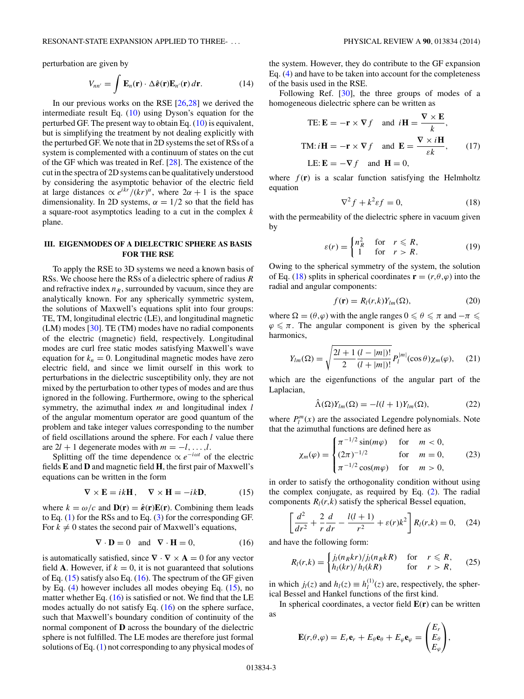<span id="page-2-0"></span>perturbation are given by

$$
V_{nn'} = \int \mathbf{E}_n(\mathbf{r}) \cdot \Delta \hat{\boldsymbol{\varepsilon}}(\mathbf{r}) \mathbf{E}_{n'}(\mathbf{r}) d\mathbf{r}.
$$
 (14)

In our previous works on the RSE  $[26,28]$  we derived the intermediate result Eq. [\(10\)](#page-1-0) using Dyson's equation for the perturbed GF. The present way to obtain Eq. [\(10\)](#page-1-0) is equivalent, but is simplifying the treatment by not dealing explicitly with the perturbed GF. We note that in 2D systems the set of RSs of a system is complemented with a continuum of states on the cut of the GF which was treated in Ref. [\[28\]](#page-13-0). The existence of the cut in the spectra of 2D systems can be qualitatively understood by considering the asymptotic behavior of the electric field at large distances  $\propto e^{ikr}/(kr)^{\alpha}$ , where  $2\alpha + 1$  is the space dimensionality. In 2D systems,  $\alpha = 1/2$  so that the field has a square-root asymptotics leading to a cut in the complex *k* plane.

## **III. EIGENMODES OF A DIELECTRIC SPHERE AS BASIS FOR THE RSE**

To apply the RSE to 3D systems we need a known basis of RSs. We choose here the RSs of a dielectric sphere of radius *R* and refractive index  $n<sub>R</sub>$ , surrounded by vacuum, since they are analytically known. For any spherically symmetric system, the solutions of Maxwell's equations split into four groups: TE, TM, longitudinal electric (LE), and longitudinal magnetic (LM) modes [\[30\]](#page-13-0). TE (TM) modes have no radial components of the electric (magnetic) field, respectively. Longitudinal modes are curl free static modes satisfying Maxwell's wave equation for  $k_n = 0$ . Longitudinal magnetic modes have zero electric field, and since we limit ourself in this work to perturbations in the dielectric susceptibility only, they are not mixed by the perturbation to other types of modes and are thus ignored in the following. Furthermore, owing to the spherical symmetry, the azimuthal index *m* and longitudinal index *l* of the angular momentum operator are good quantum of the problem and take integer values corresponding to the number of field oscillations around the sphere. For each *l* value there are  $2l + 1$  degenerate modes with  $m = -l, \ldots, l$ .

Splitting off the time dependence  $\propto e^{-i\omega t}$  of the electric fields **E** and **D** and magnetic field **H**, the first pair of Maxwell's equations can be written in the form

$$
\nabla \times \mathbf{E} = ik\mathbf{H}, \quad \nabla \times \mathbf{H} = -ik\mathbf{D}, \tag{15}
$$

where  $k = \omega/c$  and  $\mathbf{D}(\mathbf{r}) = \hat{\boldsymbol{\varepsilon}}(\mathbf{r})\mathbf{E}(\mathbf{r})$ . Combining them leads to Eq.  $(1)$  for the RSs and to Eq.  $(3)$  for the corresponding GF. For  $k \neq 0$  states the second pair of Maxwell's equations,

$$
\nabla \cdot \mathbf{D} = 0 \quad \text{and} \quad \nabla \cdot \mathbf{H} = 0,\tag{16}
$$

is automatically satisfied, since  $\nabla \cdot \nabla \times \mathbf{A} = 0$  for any vector field **A**. However, if  $k = 0$ , it is not guaranteed that solutions of Eq.  $(15)$  satisfy also Eq.  $(16)$ . The spectrum of the GF given by Eq. [\(4\)](#page-1-0) however includes all modes obeying Eq. (15), no matter whether Eq.  $(16)$  is satisfied or not. We find that the LE modes actually do not satisfy Eq. (16) on the sphere surface, such that Maxwell's boundary condition of continuity of the normal component of **D** across the boundary of the dielectric sphere is not fulfilled. The LE modes are therefore just formal solutions of Eq. [\(1\)](#page-1-0) not corresponding to any physical modes of the system. However, they do contribute to the GF expansion Eq. [\(4\)](#page-1-0) and have to be taken into account for the completeness of the basis used in the RSE.

Following Ref. [\[30\]](#page-13-0), the three groups of modes of a homogeneous dielectric sphere can be written as

TE: 
$$
\mathbf{E} = -\mathbf{r} \times \nabla f
$$
 and  $i\mathbf{H} = \frac{\nabla \times \mathbf{E}}{k}$ ,  
TM:  $i\mathbf{H} = -\mathbf{r} \times \nabla f$  and  $\mathbf{E} = \frac{\nabla \times i\mathbf{H}}{\varepsilon k}$ , (17)  
LE:  $\mathbf{E} = -\nabla f$  and  $\mathbf{H} = 0$ ,

where  $f(\mathbf{r})$  is a scalar function satisfying the Helmholtz equation

$$
\nabla^2 f + k^2 \varepsilon f = 0,\tag{18}
$$

with the permeability of the dielectric sphere in vacuum given by

$$
\varepsilon(r) = \begin{cases} n_R^2 & \text{for} \quad r \le R, \\ 1 & \text{for} \quad r > R. \end{cases} \tag{19}
$$

Owing to the spherical symmetry of the system, the solution of Eq. (18) splits in spherical coordinates  $\mathbf{r} = (r, \theta, \varphi)$  into the radial and angular components:

$$
f(\mathbf{r}) = R_l(r,k)Y_{lm}(\Omega),\tag{20}
$$

where  $\Omega = (\theta, \varphi)$  with the angle ranges  $0 \le \theta \le \pi$  and  $-\pi \le$  $\varphi \leq \pi$ . The angular component is given by the spherical harmonics,

$$
Y_{lm}(\Omega) = \sqrt{\frac{2l+1}{2} \frac{(l-|m|)!}{(l+|m|)!}} P_l^{|m|}(\cos \theta) \chi_m(\varphi), \quad (21)
$$

which are the eigenfunctions of the angular part of the Laplacian,

$$
\hat{\Lambda}(\Omega)Y_{lm}(\Omega) = -l(l+1)Y_{lm}(\Omega),\tag{22}
$$

where  $P_l^m(x)$  are the associated Legendre polynomials. Note that the azimuthal functions are defined here as

$$
\chi_m(\varphi) = \begin{cases}\n\pi^{-1/2} \sin(m\varphi) & \text{for } m < 0, \\
(2\pi)^{-1/2} & \text{for } m = 0, \\
\pi^{-1/2} \cos(m\varphi) & \text{for } m > 0,\n\end{cases}
$$
\n(23)

in order to satisfy the orthogonality condition without using the complex conjugate, as required by Eq. [\(2\)](#page-1-0). The radial components  $R_l(r, k)$  satisfy the spherical Bessel equation,

$$
\left[\frac{d^2}{dr^2} + \frac{2}{r}\frac{d}{dr} - \frac{l(l+1)}{r^2} + \varepsilon(r)k^2\right]R_l(r,k) = 0, \quad (24)
$$

and have the following form:

$$
R_l(r,k) = \begin{cases} j_l(n_Rkr)/j_l(n_RkR) & \text{for } r \leq R, \\ h_l(kr)/h_l(kR) & \text{for } r > R, \end{cases}
$$
 (25)

in which  $j_l(z)$  and  $h_l(z) \equiv h_l^{(1)}(z)$  are, respectively, the spherical Bessel and Hankel functions of the first kind.

In spherical coordinates, a vector field **E**(**r**) can be written as

$$
\mathbf{E}(r,\theta,\varphi) = E_r \mathbf{e}_r + E_\theta \mathbf{e}_\theta + E_\varphi \mathbf{e}_\varphi = \begin{pmatrix} E_r \\ E_\theta \\ E_\varphi \end{pmatrix},
$$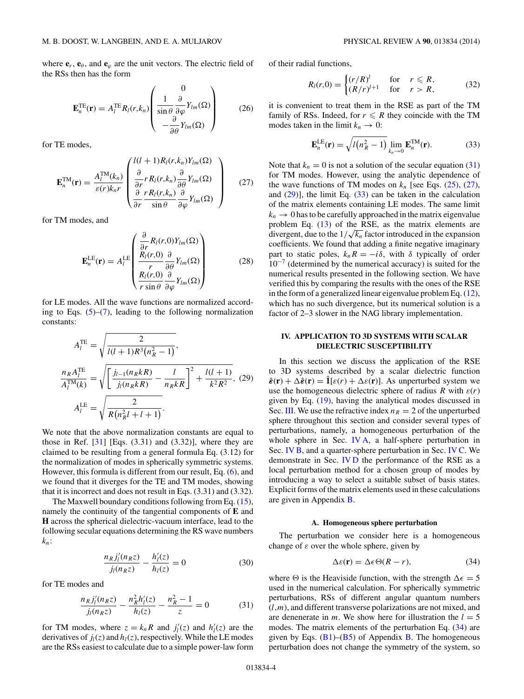<span id="page-3-0"></span>where  $\mathbf{e}_r$ ,  $\mathbf{e}_\theta$ , and  $\mathbf{e}_\varphi$  are the unit vectors. The electric field of the RSs then has the form

$$
\mathbf{E}_{n}^{\mathrm{TE}}(\mathbf{r}) = A_{l}^{\mathrm{TE}} R_{l}(r, k_{n}) \begin{pmatrix} 0 \\ \frac{1}{\sin \theta} \frac{\partial}{\partial \varphi} Y_{lm}(\Omega) \\ -\frac{\partial}{\partial \theta} Y_{lm}(\Omega) \end{pmatrix}
$$
 (26)

for TE modes,

$$
\mathbf{E}_{n}^{\mathrm{TM}}(\mathbf{r}) = \frac{A_{l}^{\mathrm{TM}}(k_{n})}{\varepsilon(r)k_{n}r} \begin{pmatrix} l(l+1)R_{l}(r,k_{n})Y_{lm}(\Omega) \\ \frac{\partial}{\partial r}rR_{l}(r,k_{n})\frac{\partial}{\partial \theta}Y_{lm}(\Omega) \\ \frac{\partial}{\partial r}\frac{rR_{l}(r,k_{n})}{\sin\theta}\frac{\partial}{\partial \varphi}Y_{lm}(\Omega) \end{pmatrix}
$$
(27)

for TM modes, and

$$
\mathbf{E}_{n}^{\text{LE}}(\mathbf{r}) = A_{l}^{\text{LE}}\begin{pmatrix} \frac{\partial}{\partial r}R_{l}(r,0)Y_{lm}(\Omega) \\ \frac{R_{l}(r,0)}{r} \frac{\partial}{\partial \theta}Y_{lm}(\Omega) \\ \frac{R_{l}(r,0)}{r \sin \theta} \frac{\partial}{\partial \varphi}Y_{lm}(\Omega) \end{pmatrix}
$$
(28)

for LE modes. All the wave functions are normalized according to Eqs.  $(5)$ – $(7)$ , leading to the following normalization constants:

$$
A_l^{\text{TE}} = \sqrt{\frac{2}{l(l+1)R^3(n_R^2 - 1)}},
$$

$$
\frac{n_R A_l^{\text{TE}}}{A_l^{\text{TM}}(k)} = \sqrt{\left[\frac{j_{l-1}(n_R kR)}{j_l(n_R kR)} - \frac{l}{n_R kR}\right]^2 + \frac{l(l+1)}{k^2 R^2}},
$$
(29)
$$
A_l^{\text{LE}} = \sqrt{\frac{2}{R(n_R^2 l + l + 1)}}.
$$

We note that the above normalization constants are equal to those in Ref.  $[31]$  [Eqs.  $(3.31)$  and  $(3.32)$ ], where they are claimed to be resulting from a general formula Eq. (3.12) for the normalization of modes in spherically symmetric systems. However, this formula is different from our result, Eq. [\(6\)](#page-1-0), and we found that it diverges for the TE and TM modes, showing that it is incorrect and does not result in Eqs. (3.31) and (3.32).

The Maxwell boundary conditions following from Eq. [\(15\)](#page-2-0), namely the continuity of the tangential components of **E** and **H** across the spherical dielectric-vacuum interface, lead to the following secular equations determining the RS wave numbers *kn*:

$$
\frac{n_R j_l'(n_R z)}{j_l(n_R z)} - \frac{h_l'(z)}{h_l(z)} = 0
$$
\n(30)

for TE modes and

$$
\frac{n_R j_l'(n_R z)}{j_l(n_R z)} - \frac{n_R^2 h_l'(z)}{h_l(z)} - \frac{n_R^2 - 1}{z} = 0
$$
 (31)

for TM modes, where  $z = k_n R$  and  $j_l'(z)$  and  $h_l'(z)$  are the derivatives of  $j_l(z)$  and  $h_l(z)$ , respectively. While the LE modes are the RSs easiest to calculate due to a simple power-law form of their radial functions,

$$
R_l(r,0) = \begin{cases} (r/R)^l & \text{for } r \leq R, \\ (R/r)^{l+1} & \text{for } r > R, \end{cases}
$$
 (32)

it is convenient to treat them in the RSE as part of the TM family of RSs. Indeed, for  $r \le R$  they coincide with the TM modes taken in the limit  $k_n \to 0$ :

$$
\mathbf{E}_n^{\text{LE}}(\mathbf{r}) = \sqrt{l(n_R^2 - 1)} \lim_{k_n \to 0} \mathbf{E}_n^{\text{TM}}(\mathbf{r}).
$$
 (33)

Note that  $k_n = 0$  is not a solution of the secular equation (31) for TM modes. However, using the analytic dependence of the wave functions of TM modes on  $k_n$  [see Eqs.  $(25)$ ,  $(27)$ , and  $(29)$ ], the limit Eq.  $(33)$  can be taken in the calculation of the matrix elements containing LE modes. The same limit  $k_n \to 0$  has to be carefully approached in the matrix eigenvalue problem Eq. [\(13\)](#page-1-0) of the RSE, as the matrix elements are divergent, due to the  $1/\sqrt{k_n}$  factor introduced in the expansion coefficients. We found that adding a finite negative imaginary part to static poles,  $k_n R = -i\delta$ , with  $\delta$  typically of order  $10^{-7}$  (determined by the numerical accuracy) is suited for the numerical results presented in the following section. We have verified this by comparing the results with the ones of the RSE in the form of a generalized linear eigenvalue problem Eq. [\(12\)](#page-1-0), which has no such divergence, but its numerical solution is a factor of 2–3 slower in the NAG library implementation.

## **IV. APPLICATION TO 3D SYSTEMS WITH SCALAR DIELECTRIC SUSCEPTIBILITY**

In this section we discuss the application of the RSE to 3D systems described by a scalar dielectric function  $\hat{\boldsymbol{\varepsilon}}(\mathbf{r}) + \Delta \hat{\boldsymbol{\varepsilon}}(\mathbf{r}) = \hat{\mathbf{1}}[\varepsilon(\mathbf{r}) + \Delta \varepsilon(\mathbf{r})]$ . As unperturbed system we use the homogeneous dielectric sphere of radius *R* with  $\varepsilon(r)$ given by Eq. [\(19\)](#page-2-0), having the analytical modes discussed in Sec. [III.](#page-2-0) We use the refractive index  $n_R = 2$  of the unperturbed sphere throughout this section and consider several types of perturbations, namely, a homogeneous perturbation of the whole sphere in Sec. IV A, a half-sphere perturbation in Sec. [IV B,](#page-5-0) and a quarter-sphere perturbation in Sec. [IV C.](#page-5-0) We demonstrate in Sec. [IV D](#page-7-0) the performance of the RSE as a local perturbation method for a chosen group of modes by introducing a way to select a suitable subset of basis states. Explicit forms of the matrix elements used in these calculations are given in Appendix [B.](#page-10-0)

#### **A. Homogeneous sphere perturbation**

The perturbation we consider here is a homogeneous change of *ε* over the whole sphere, given by

$$
\Delta \varepsilon(\mathbf{r}) = \Delta \varepsilon \Theta(R - r),\tag{34}
$$

where  $\Theta$  is the Heaviside function, with the strength  $\Delta \epsilon = 5$ used in the numerical calculation. For spherically symmetric perturbations, RSs of different angular quantum numbers (*l,m*), and different transverse polarizations are not mixed, and are denenerate in *m*. We show here for illustration the  $l = 5$ modes. The matrix elements of the perturbation Eq. (34) are given by Eqs.  $(B1)$ – $(B5)$  of Appendix [B.](#page-10-0) The homogeneous perturbation does not change the symmetry of the system, so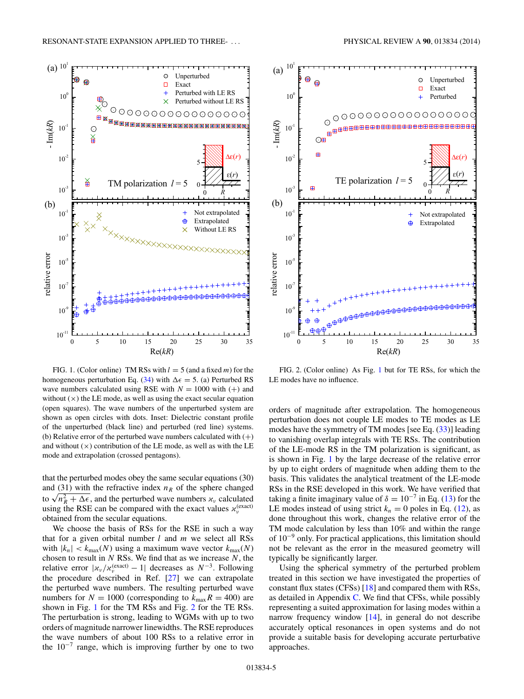<span id="page-4-0"></span>

FIG. 1. (Color online) TM RSs with  $l = 5$  (and a fixed *m*) for the homogeneous perturbation Eq. [\(34\)](#page-3-0) with  $\Delta \epsilon = 5$ . (a) Perturbed RS wave numbers calculated using RSE with  $N = 1000$  with  $(+)$  and without  $(x)$  the LE mode, as well as using the exact secular equation (open squares). The wave numbers of the unperturbed system are shown as open circles with dots. Inset: Dielectric constant profile of the unperturbed (black line) and perturbed (red line) systems. (b) Relative error of the perturbed wave numbers calculated with  $(+)$ and without  $(x)$  contribution of the LE mode, as well as with the LE mode and extrapolation (crossed pentagons).

that the perturbed modes obey the same secular equations (30) and (31) with the refractive index  $n_R$  of the sphere changed to  $\sqrt{n_R^2 + \Delta \epsilon}$ , and the perturbed wave numbers  $x_v$  calculated using the RSE can be compared with the exact values  $x_v^{\text{(exact)}}$ obtained from the secular equations.

We choose the basis of RSs for the RSE in such a way that for a given orbital number *l* and *m* we select all RSs with  $|k_n| < k_{\text{max}}(N)$  using a maximum wave vector  $k_{\text{max}}(N)$ chosen to result in *N* RSs. We find that as we increase *N*, the relative error  $|x_v/x_v^{\text{(exact)}} - 1|$  decreases as  $N^{-3}$ . Following the procedure described in Ref. [\[27\]](#page-13-0) we can extrapolate the perturbed wave numbers. The resulting perturbed wave numbers for  $N = 1000$  (corresponding to  $k_{\text{max}}R = 400$ ) are shown in Fig. 1 for the TM RSs and Fig. 2 for the TE RSs. The perturbation is strong, leading to WGMs with up to two orders of magnitude narrower linewidths. The RSE reproduces the wave numbers of about 100 RSs to a relative error in the  $10^{-7}$  range, which is improving further by one to two



FIG. 2. (Color online) As Fig. 1 but for TE RSs, for which the LE modes have no influence.

orders of magnitude after extrapolation. The homogeneous perturbation does not couple LE modes to TE modes as LE modes have the symmetry of TM modes [see Eq. [\(33\)](#page-3-0)] leading to vanishing overlap integrals with TE RSs. The contribution of the LE-mode RS in the TM polarization is significant, as is shown in Fig. 1 by the large decrease of the relative error by up to eight orders of magnitude when adding them to the basis. This validates the analytical treatment of the LE-mode RSs in the RSE developed in this work. We have verified that taking a finite imaginary value of  $\delta = 10^{-7}$  in Eq. [\(13\)](#page-1-0) for the LE modes instead of using strict  $k_n = 0$  poles in Eq. [\(12\)](#page-1-0), as done throughout this work, changes the relative error of the TM mode calculation by less than 10% and within the range of 10−<sup>9</sup> only. For practical applications, this limitation should not be relevant as the error in the measured geometry will typically be significantly larger.

Using the spherical symmetry of the perturbed problem treated in this section we have investigated the properties of constant flux states (CFSs) [\[18\]](#page-13-0) and compared them with RSs, as detailed in Appendix [C.](#page-11-0) We find that CFSs, while possibly representing a suited approximation for lasing modes within a narrow frequency window [\[14\]](#page-12-0), in general do not describe accurately optical resonances in open systems and do not provide a suitable basis for developing accurate perturbative approaches.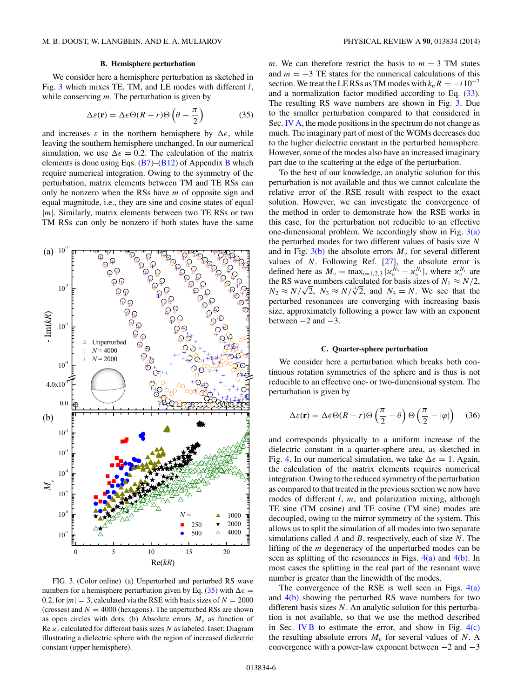#### **B. Hemisphere perturbation**

<span id="page-5-0"></span>We consider here a hemisphere perturbation as sketched in Fig. 3 which mixes TE, TM, and LE modes with different *l*, while conserving *m*. The perturbation is given by

$$
\Delta \varepsilon(\mathbf{r}) = \Delta \varepsilon \Theta(R - r) \Theta\left(\theta - \frac{\pi}{2}\right) \tag{35}
$$

and increases  $\varepsilon$  in the northern hemisphere by  $\Delta \epsilon$ , while leaving the southern hemisphere unchanged. In our numerical simulation, we use  $\Delta \epsilon = 0.2$ . The calculation of the matrix elements is done using Eqs.  $(B7)$ – $(B12)$  of Appendix [B](#page-10-0) which require numerical integration. Owing to the symmetry of the perturbation, matrix elements between TM and TE RSs can only be nonzero when the RSs have *m* of opposite sign and equal magnitude, i.e., they are sine and cosine states of equal |*m*|. Similarly, matrix elements between two TE RSs or two TM RSs can only be nonzero if both states have the same



FIG. 3. (Color online) (a) Unperturbed and perturbed RS wave numbers for a hemisphere perturbation given by Eq. (35) with  $\Delta \epsilon$  = 0.2, for  $|m| = 3$ , calculated via the RSE with basis sizes of  $N = 2000$ (crosses) and  $N = 4000$  (hexagons). The unperturbed RSs are shown as open circles with dots. (b) Absolute errors  $M_{\nu}$  as function of Re *x<sub>v</sub>* calculated for different basis sizes *N* as labeled. Inset: Diagram illustrating a dielectric sphere with the region of increased dielectric constant (upper hemisphere).

*m*. We can therefore restrict the basis to  $m = 3$  TM states and *m* = −3 TE states for the numerical calculations of this section. We treat the LE RSs as TM modes with  $k_nR = -i10^{-7}$ and a normalization factor modified according to Eq. [\(33\)](#page-3-0). The resulting RS wave numbers are shown in Fig. 3. Due to the smaller perturbation compared to that considered in Sec. [IV A,](#page-3-0) the mode positions in the spectrum do not change as much. The imaginary part of most of the WGMs decreases due to the higher dielectric constant in the perturbed hemisphere. However, some of the modes also have an increased imaginary part due to the scattering at the edge of the perturbation.

To the best of our knowledge, an analytic solution for this perturbation is not available and thus we cannot calculate the relative error of the RSE result with respect to the exact solution. However, we can investigate the convergence of the method in order to demonstrate how the RSE works in this case, for the perturbation not reducible to an effective one-dimensional problem. We accordingly show in Fig.  $3(a)$ the perturbed modes for two different values of basis size *N* and in Fig.  $3(b)$  the absolute errors  $M_{\nu}$  for several different values of *N*. Following Ref. [\[27\]](#page-13-0), the absolute error is defined here as  $M_v = \max_{i=1,2,3} |\varkappa_v^{N_4} - \varkappa_v^{N_i}|$ , where  $\varkappa_v^{N_i}$  are the RS wave numbers calculated for basis sizes of  $N_1 \approx N/2$ ,  $N_2 \approx N/\sqrt{2}$ ,  $N_3 \approx N/\sqrt{2}$ , and  $N_4 = N$ . We see that the perturbed resonances are converging with increasing basis size, approximately following a power law with an exponent between  $-2$  and  $-3$ .

### **C. Quarter-sphere perturbation**

We consider here a perturbation which breaks both continuous rotation symmetries of the sphere and is thus is not reducible to an effective one- or two-dimensional system. The perturbation is given by

$$
\Delta \varepsilon(\mathbf{r}) = \Delta \varepsilon \Theta(R - r) \Theta\left(\frac{\pi}{2} - \theta\right) \Theta\left(\frac{\pi}{2} - |\varphi|\right) \quad (36)
$$

and corresponds physically to a uniform increase of the dielectric constant in a quarter-sphere area, as sketched in Fig. [4.](#page-6-0) In our numerical simulation, we take  $\Delta \epsilon = 1$ . Again, the calculation of the matrix elements requires numerical integration. Owing to the reduced symmetry of the perturbation as compared to that treated in the previous section we now have modes of different *l*, *m*, and polarization mixing, although TE sine (TM cosine) and TE cosine (TM sine) modes are decoupled, owing to the mirror symmetry of the system. This allows us to split the simulation of all modes into two separate simulations called *A* and *B*, respectively, each of size *N*. The lifting of the *m* degeneracy of the unperturbed modes can be seen as splitting of the resonances in Figs.  $4(a)$  and  $4(b)$ . In most cases the splitting in the real part of the resonant wave number is greater than the linewidth of the modes.

The convergence of the RSE is well seen in Figs.  $4(a)$ and  $4(b)$  showing the perturbed RS wave numbers for two different basis sizes *N*. An analytic solution for this perturbation is not available, so that we use the method described in Sec. IV B to estimate the error, and show in Fig.  $4(c)$ the resulting absolute errors  $M_{\nu}$  for several values of *N*. A convergence with a power-law exponent between  $-2$  and  $-3$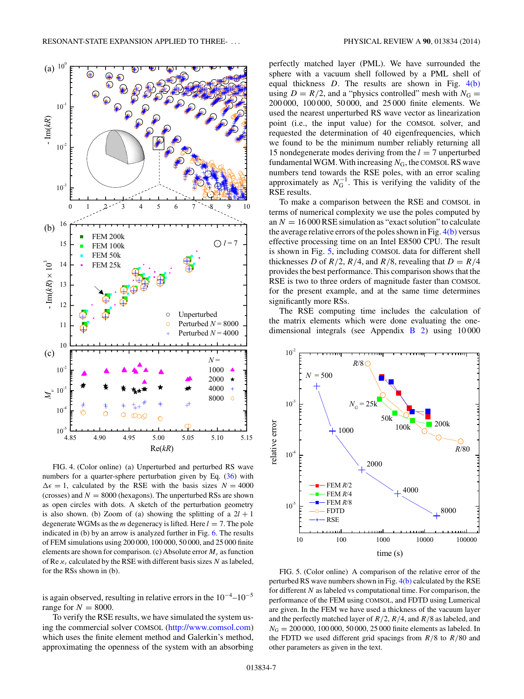<span id="page-6-0"></span>

FIG. 4. (Color online) (a) Unperturbed and perturbed RS wave numbers for a quarter-sphere perturbation given by Eq. [\(36\)](#page-5-0) with  $\Delta \epsilon = 1$ , calculated by the RSE with the basis sizes  $N = 4000$ (crosses) and  $N = 8000$  (hexagons). The unperturbed RSs are shown as open circles with dots. A sketch of the perturbation geometry is also shown. (b) Zoom of (a) showing the splitting of a  $2l + 1$ degenerate WGMs as the  $m$  degeneracy is lifted. Here  $l = 7$ . The pole indicated in (b) by an arrow is analyzed further in Fig. [6.](#page-7-0) The results of FEM simulations using 200 000, 100 000, 50 000, and 25 000 finite elements are shown for comparison. (c) Absolute error  $M<sub>v</sub>$  as function of Re  $x_v$  calculated by the RSE with different basis sizes *N* as labeled, for the RSs shown in (b).

is again observed, resulting in relative errors in the  $10^{-4}$ – $10^{-5}$ range for  $N = 8000$ .

To verify the RSE results, we have simulated the system using the commercial solver COMSOL [\(http://www.comsol.com\)](http://www.comsol.com) which uses the finite element method and Galerkin's method, approximating the openness of the system with an absorbing perfectly matched layer (PML). We have surrounded the sphere with a vacuum shell followed by a PML shell of equal thickness *D*. The results are shown in Fig. 4(b) using  $D = R/2$ , and a "physics controlled" mesh with  $N<sub>G</sub>$  = 200 000, 100 000, 50 000, and 25 000 finite elements. We used the nearest unperturbed RS wave vector as linearization point (i.e., the input value) for the COMSOL solver, and requested the determination of 40 eigenfrequencies, which we found to be the minimum number reliably returning all 15 nondegenerate modes deriving from the  $l = 7$  unperturbed fundamental WGM. With increasing  $N<sub>G</sub>$ , the COMSOL RS wave numbers tend towards the RSE poles, with an error scaling approximately as  $N_G^{-1}$ . This is verifying the validity of the RSE results.

To make a comparison between the RSE and COMSOL in terms of numerical complexity we use the poles computed by an  $N = 16000$  RSE simulation as "exact solution" to calculate the average relative errors of the poles shown in Fig.  $4(b)$  versus effective processing time on an Intel E8500 CPU. The result is shown in Fig. 5, including COMSOL data for different shell thicknesses *D* of  $R/2$ ,  $R/4$ , and  $R/8$ , revealing that  $D = R/4$ provides the best performance. This comparison shows that the RSE is two to three orders of magnitude faster than COMSOL for the present example, and at the same time determines significantly more RSs.

The RSE computing time includes the calculation of the matrix elements which were done evaluating the onedimensional integrals (see Appendix [B 2\)](#page-10-0) using 10 000



FIG. 5. (Color online) A comparison of the relative error of the perturbed RS wave numbers shown in Fig. 4(b) calculated by the RSE for different *N* as labeled vs computational time. For comparison, the performance of the FEM using COMSOL, and FDTD using Lumerical are given. In the FEM we have used a thickness of the vacuum layer and the perfectly matched layer of *R/*2, *R/*4, and *R/*8 as labeled, and *N*<sub>G</sub> = 200 000, 100 000, 50 000, 25 000 finite elements as labeled. In the FDTD we used different grid spacings from *R/*8 to *R/*80 and other parameters as given in the text.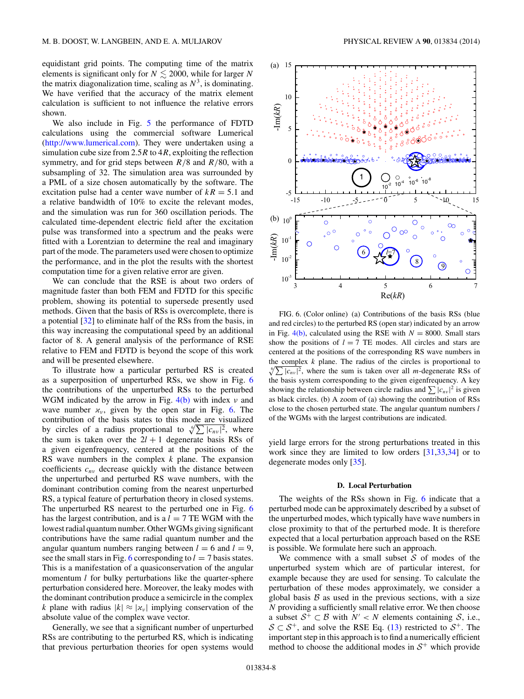<span id="page-7-0"></span>equidistant grid points. The computing time of the matrix elements is significant only for  $N \le 2000$ , while for larger *N* the matrix diagonalization time, scaling as  $N^3$ , is dominating. We have verified that the accuracy of the matrix element calculation is sufficient to not influence the relative errors shown.

We also include in Fig. [5](#page-6-0) the performance of FDTD calculations using the commercial software Lumerical [\(http://www.lumerical.com\)](http://www.lumerical.com). They were undertaken using a simulation cube size from 2.5*R* to 4*R*, exploiting the reflection symmetry, and for grid steps between *R/*8 and *R/*80, with a subsampling of 32. The simulation area was surrounded by a PML of a size chosen automatically by the software. The excitation pulse had a center wave number of  $k = 5.1$  and a relative bandwidth of 10% to excite the relevant modes, and the simulation was run for 360 oscillation periods. The calculated time-dependent electric field after the excitation pulse was transformed into a spectrum and the peaks were fitted with a Lorentzian to determine the real and imaginary part of the mode. The parameters used were chosen to optimize the performance, and in the plot the results with the shortest computation time for a given relative error are given.

We can conclude that the RSE is about two orders of magnitude faster than both FEM and FDTD for this specific problem, showing its potential to supersede presently used methods. Given that the basis of RSs is overcomplete, there is a potential [\[32\]](#page-13-0) to eliminate half of the RSs from the basis, in this way increasing the computational speed by an additional factor of 8. A general analysis of the performance of RSE relative to FEM and FDTD is beyond the scope of this work and will be presented elsewhere.

To illustrate how a particular perturbed RS is created as a superposition of unperturbed RSs, we show in Fig. 6 the contributions of the unperturbed RSs to the perturbed WGM indicated by the arrow in Fig. [4\(b\)](#page-6-0) with index *ν* and wave number  $x_v$ , given by the open star in Fig. 6. The contribution of the basis states to this mode are visualized by circles of a radius proportional to  $\sqrt[6]{\sum |c_{nv}|^2}$ , where the sum is taken over the  $2l + 1$  degenerate basis RSs of a given eigenfrequency, centered at the positions of the RS wave numbers in the complex *k* plane. The expansion coefficients *cnν* decrease quickly with the distance between the unperturbed and perturbed RS wave numbers, with the dominant contribution coming from the nearest unperturbed RS, a typical feature of perturbation theory in closed systems. The unperturbed RS nearest to the perturbed one in Fig. 6 has the largest contribution, and is a  $l = 7$  TE WGM with the lowest radial quantum number. Other WGMs giving significant contributions have the same radial quantum number and the angular quantum numbers ranging between  $l = 6$  and  $l = 9$ , see the small stars in Fig. 6 corresponding to  $l = 7$  basis states. This is a manifestation of a quasiconservation of the angular momentum *l* for bulky perturbations like the quarter-sphere perturbation considered here. Moreover, the leaky modes with the dominant contribution produce a semicircle in the complex *k* plane with radius  $|k| \approx |v_v|$  implying conservation of the absolute value of the complex wave vector.

Generally, we see that a significant number of unperturbed RSs are contributing to the perturbed RS, which is indicating that previous perturbation theories for open systems would



FIG. 6. (Color online) (a) Contributions of the basis RSs (blue and red circles) to the perturbed RS (open star) indicated by an arrow in Fig.  $4(b)$ , calculated using the RSE with  $N = 8000$ . Small stars show the positions of  $l = 7$  TE modes. All circles and stars are centered at the positions of the corresponding RS wave numbers in the complex *k* plane. The radius of the circles is proportional to  $\sqrt[6]{\sum |c_{nv}|^2}$ , where the sum is taken over all *m*-degenerate RSs of the basis system corresponding to the given eigenfrequency. A key showing the relationship between circle radius and  $\sum |c_{nv}|^2$  is given as black circles. (b) A zoom of (a) showing the contribution of RSs close to the chosen perturbed state. The angular quantum numbers *l* of the WGMs with the largest contributions are indicated.

yield large errors for the strong perturbations treated in this work since they are limited to low orders [\[31,33,34\]](#page-13-0) or to degenerate modes only [\[35\]](#page-13-0).

#### **D. Local Perturbation**

The weights of the RSs shown in Fig. 6 indicate that a perturbed mode can be approximately described by a subset of the unperturbed modes, which typically have wave numbers in close proximity to that of the perturbed mode. It is therefore expected that a local perturbation approach based on the RSE is possible. We formulate here such an approach.

We commence with a small subset  $S$  of modes of the unperturbed system which are of particular interest, for example because they are used for sensing. To calculate the perturbation of these modes approximately, we consider a global basis  $\beta$  as used in the previous sections, with a size *N* providing a sufficiently small relative error. We then choose a subset  $S^+ \subset B$  with  $N' < N$  elements containing S, i.e.,  $S \subset S^+$ , and solve the RSE Eq. [\(13\)](#page-1-0) restricted to  $S^+$ . The important step in this approach is to find a numerically efficient method to choose the additional modes in  $S^+$  which provide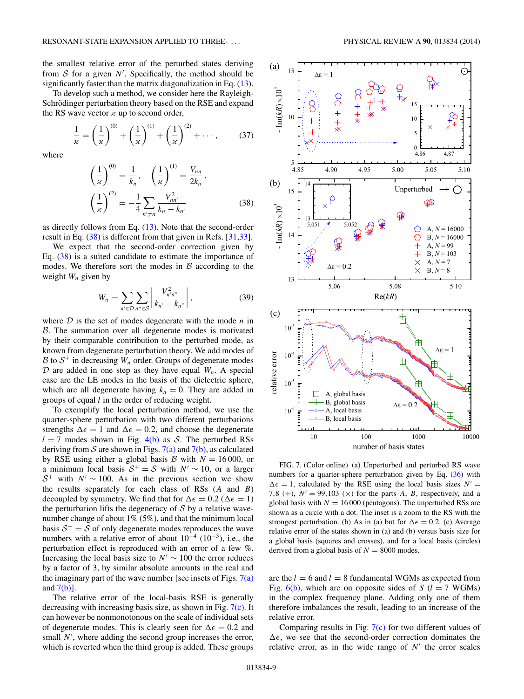<span id="page-8-0"></span>the smallest relative error of the perturbed states deriving from  $S$  for a given  $N'$ . Specifically, the method should be significantly faster than the matrix diagonalization in Eq. [\(13\)](#page-1-0).

To develop such a method, we consider here the Rayleigh-Schrödinger perturbation theory based on the RSE and expand the RS wave vector  $\chi$  up to second order,

$$
\frac{1}{x} = \left(\frac{1}{x}\right)^{(0)} + \left(\frac{1}{x}\right)^{(1)} + \left(\frac{1}{x}\right)^{(2)} + \cdots, \tag{37}
$$

where

$$
\left(\frac{1}{\kappa}\right)^{(0)} = \frac{1}{k_n}, \quad \left(\frac{1}{\kappa}\right)^{(1)} = \frac{V_{nn}}{2k_n},
$$
\n
$$
\left(\frac{1}{\kappa}\right)^{(2)} = -\frac{1}{4} \sum_{n' \neq n} \frac{V_{nn'}^2}{k_n - k_{n'}}
$$
\n(38)

as directly follows from Eq. [\(13\)](#page-1-0). Note that the second-order result in Eq. (38) is different from that given in Refs. [\[31,33\]](#page-13-0).

We expect that the second-order correction given by Eq. (38) is a suited candidate to estimate the importance of modes. We therefore sort the modes in  $\beta$  according to the weight  $W_n$  given by

$$
W_n = \sum_{n' \in \mathcal{D}} \sum_{n'' \in \mathcal{S}} \left| \frac{V_{n'n''}^2}{k_{n'} - k_{n''}} \right|,
$$
 (39)

where  $D$  is the set of modes degenerate with the mode  $n$  in B. The summation over all degenerate modes is motivated by their comparable contribution to the perturbed mode, as known from degenerate perturbation theory. We add modes of B to  $S^+$  in decreasing  $W_n$  order. Groups of degenerate modes  $D$  are added in one step as they have equal  $W_n$ . A special case are the LE modes in the basis of the dielectric sphere, which are all degenerate having  $k_n = 0$ . They are added in groups of equal *l* in the order of reducing weight.

To exemplify the local perturbation method, we use the quarter-sphere perturbation with two different perturbations strengths  $\Delta \epsilon = 1$  and  $\Delta \epsilon = 0.2$ , and choose the degenerate  $l = 7$  modes shown in Fig. [4\(b\)](#page-6-0) as S. The perturbed RSs deriving from S are shown in Figs.  $7(a)$  and  $7(b)$ , as calculated by RSE using either a global basis  $\beta$  with  $N = 16000$ , or a minimum local basis  $S^+ = S$  with  $N' \sim 10$ , or a larger  $S^+$  with  $N' \sim 100$ . As in the previous section we show the results separately for each class of RSs (*A* and *B*) decoupled by symmetry. We find that for  $\Delta \epsilon = 0.2$  ( $\Delta \epsilon = 1$ ) the perturbation lifts the degeneracy of  $S$  by a relative wavenumber change of about 1% (5%), and that the minimum local basis  $S^+ = S$  of only degenerate modes reproduces the wave numbers with a relative error of about  $10^{-4}$  ( $10^{-3}$ ), i.e., the perturbation effect is reproduced with an error of a few %. Increasing the local basis size to  $N' \sim 100$  the error reduces by a factor of 3, by similar absolute amounts in the real and the imaginary part of the wave number [see insets of Figs.  $7(a)$ and  $7(b)$ ].

The relative error of the local-basis RSE is generally decreasing with increasing basis size, as shown in Fig. 7(c). It can however be nonmonotonous on the scale of individual sets of degenerate modes. This is clearly seen for  $\Delta \epsilon = 0.2$  and small  $N'$ , where adding the second group increases the error, which is reverted when the third group is added. These groups



FIG. 7. (Color online) (a) Unperturbed and perturbed RS wave numbers for a quarter-sphere perturbation given by Eq. [\(36\)](#page-5-0) with  $\Delta \epsilon = 1$ , calculated by the RSE using the local basis sizes  $N' =$ 7,8 (+),  $N' = 99,103$  ( $\times$ ) for the parts *A*, *B*, respectively, and a global basis with  $N = 16000$  (pentagons). The unperturbed RSs are shown as a circle with a dot. The inset is a zoom to the RS with the strongest perturbation. (b) As in (a) but for  $\Delta \epsilon = 0.2$ . (c) Average relative error of the states shown in (a) and (b) versus basis size for a global basis (squares and crosses), and for a local basis (circles) derived from a global basis of  $N = 8000$  modes.

are the  $l = 6$  and  $l = 8$  fundamental WGMs as expected from Fig.  $6(b)$ , which are on opposite sides of *S* ( $l = 7$  WGMs) in the complex frequency plane. Adding only one of them therefore imbalances the result, leading to an increase of the relative error.

Comparing results in Fig.  $7(c)$  for two different values of  $\Delta \epsilon$ , we see that the second-order correction dominates the relative error, as in the wide range of  $N'$  the error scales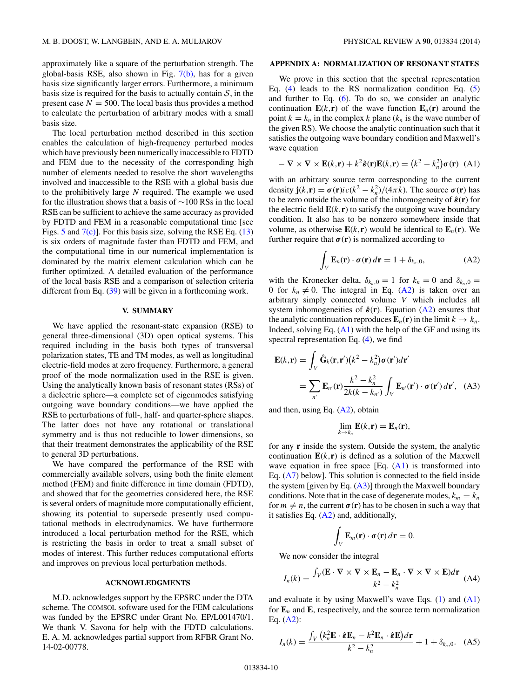<span id="page-9-0"></span>approximately like a square of the perturbation strength. The global-basis RSE, also shown in Fig. [7\(b\),](#page-8-0) has for a given basis size significantly larger errors. Furthermore, a minimum basis size is required for the basis to actually contain  $S$ , in the present case  $N = 500$ . The local basis thus provides a method to calculate the perturbation of arbitrary modes with a small basis size.

The local perturbation method described in this section enables the calculation of high-frequency perturbed modes which have previously been numerically inaccessible to FDTD and FEM due to the necessity of the corresponding high number of elements needed to resolve the short wavelengths involved and inaccessible to the RSE with a global basis due to the prohibitively large *N* required. The example we used for the illustration shows that a basis of ∼100 RSs in the local RSE can be sufficient to achieve the same accuracy as provided by FDTD and FEM in a reasonable computational time [see Figs. [5](#page-6-0) and [7\(c\)\]](#page-8-0). For this basis size, solving the RSE Eq. [\(13\)](#page-1-0) is six orders of magnitude faster than FDTD and FEM, and the computational time in our numerical implementation is dominated by the matrix element calculation which can be further optimized. A detailed evaluation of the performance of the local basis RSE and a comparison of selection criteria different from Eq. [\(39\)](#page-8-0) will be given in a forthcoming work.

### **V. SUMMARY**

We have applied the resonant-state expansion (RSE) to general three-dimensional (3D) open optical systems. This required including in the basis both types of transversal polarization states, TE and TM modes, as well as longitudinal electric-field modes at zero frequency. Furthermore, a general proof of the mode normalization used in the RSE is given. Using the analytically known basis of resonant states (RSs) of a dielectric sphere—a complete set of eigenmodes satisfying outgoing wave boundary conditions—we have applied the RSE to perturbations of full-, half- and quarter-sphere shapes. The latter does not have any rotational or translational symmetry and is thus not reducible to lower dimensions, so that their treatment demonstrates the applicability of the RSE to general 3D perturbations.

We have compared the performance of the RSE with commercially available solvers, using both the finite element method (FEM) and finite difference in time domain (FDTD), and showed that for the geometries considered here, the RSE is several orders of magnitude more computationally efficient, showing its potential to supersede presently used computational methods in electrodynamics. We have furthermore introduced a local perturbation method for the RSE, which is restricting the basis in order to treat a small subset of modes of interest. This further reduces computational efforts and improves on previous local perturbation methods.

## **ACKNOWLEDGMENTS**

M.D. acknowledges support by the EPSRC under the DTA scheme. The COMSOL software used for the FEM calculations was funded by the EPSRC under Grant No. EP/L001470/1. We thank V. Savona for help with the FDTD calculations. E. A. M. acknowledges partial support from RFBR Grant No. 14-02-00778.

### **APPENDIX A: NORMALIZATION OF RESONANT STATES**

We prove in this section that the spectral representation Eq.  $(4)$  leads to the RS normalization condition Eq.  $(5)$ and further to Eq. [\(6\)](#page-1-0). To do so, we consider an analytic continuation  $\mathbf{E}(k,\mathbf{r})$  of the wave function  $\mathbf{E}_n(\mathbf{r})$  around the point  $k = k_n$  in the complex k plane  $(k_n)$  is the wave number of the given RS). We choose the analytic continuation such that it satisfies the outgoing wave boundary condition and Maxwell's wave equation

$$
-\nabla \times \nabla \times \mathbf{E}(k, \mathbf{r}) + k^2 \hat{\mathbf{\varepsilon}}(\mathbf{r}) \mathbf{E}(k, \mathbf{r}) = (k^2 - k_n^2) \sigma(\mathbf{r}) \tag{A1}
$$

with an arbitrary source term corresponding to the current density  $\mathbf{j}(k,\mathbf{r}) = \sigma(\mathbf{r})ic(k^2 - k_n^2)/(4\pi k)$ . The source  $\sigma(\mathbf{r})$  has to be zero outside the volume of the inhomogeneity of *ε*ˆ(**r**) for the electric field  $E(k, r)$  to satisfy the outgoing wave boundary condition. It also has to be nonzero somewhere inside that volume, as otherwise  $\mathbf{E}(k,\mathbf{r})$  would be identical to  $\mathbf{E}_n(\mathbf{r})$ . We further require that  $\sigma(\mathbf{r})$  is normalized according to

$$
\int_{V} \mathbf{E}_{n}(\mathbf{r}) \cdot \boldsymbol{\sigma}(\mathbf{r}) d\mathbf{r} = 1 + \delta_{k_{n},0},
$$
\n(A2)

with the Kronecker delta,  $\delta_{k_n,0} = 1$  for  $k_n = 0$  and  $\delta_{k_n,0} =$ 0 for  $k_n \neq 0$ . The integral in Eq. (A2) is taken over an arbitrary simply connected volume *V* which includes all system inhomogeneities of  $\hat{\epsilon}$ (**r**). Equation (A2) ensures that the analytic continuation reproduces  $\mathbf{E}_n(\mathbf{r})$  in the limit  $k \to k_n$ . Indeed, solving Eq.  $(A1)$  with the help of the GF and using its spectral representation Eq. [\(4\)](#page-1-0), we find

$$
\mathbf{E}(k, \mathbf{r}) = \int_{V} \hat{\mathbf{G}}_{k}(\mathbf{r}, \mathbf{r}') (k^{2} - k_{n}^{2}) \sigma(\mathbf{r}') d\mathbf{r}'
$$

$$
= \sum_{n'} \mathbf{E}_{n'}(\mathbf{r}) \frac{k^{2} - k_{n}^{2}}{2k(k - k_{n'})} \int_{V} \mathbf{E}_{n'}(\mathbf{r}') \cdot \sigma(\mathbf{r}') d\mathbf{r}', \quad (A3)
$$

and then, using Eq.  $(A2)$ , obtain

$$
\lim_{k\to k_n}\mathbf{E}(k,\mathbf{r})=\mathbf{E}_n(\mathbf{r}),
$$

for any **r** inside the system. Outside the system, the analytic continuation  $E(k, r)$  is defined as a solution of the Maxwell wave equation in free space  $[Eq. (A1)$  is transformed into Eq. [\(A7\)](#page-10-0) below]. This solution is connected to the field inside the system [given by Eq.  $(A3)$ ] through the Maxwell boundary conditions. Note that in the case of degenerate modes,  $k_m = k_n$ for  $m \neq n$ , the current  $\sigma(\mathbf{r})$  has to be chosen in such a way that it satisfies Eq.  $(A2)$  and, additionally,

$$
\int_V \mathbf{E}_m(\mathbf{r}) \cdot \boldsymbol{\sigma}(\mathbf{r}) d\mathbf{r} = 0.
$$

We now consider the integral

$$
I_n(k) = \frac{\int_V (\mathbf{E} \cdot \nabla \times \nabla \times \mathbf{E}_n - \mathbf{E}_n \cdot \nabla \times \nabla \times \mathbf{E}) d\mathbf{r}}{k^2 - k_n^2}
$$
(A4)

and evaluate it by using Maxwell's wave Eqs.  $(1)$  and  $(A1)$ for  $\mathbf{E}_n$  and  $\mathbf{E}$ , respectively, and the source term normalization Eq. (A2):

$$
I_n(k) = \frac{\int_V (k_n^2 \mathbf{E} \cdot \hat{\boldsymbol{\varepsilon}} \mathbf{E}_n - k^2 \mathbf{E}_n \cdot \hat{\boldsymbol{\varepsilon}} \mathbf{E}) d\mathbf{r}}{k^2 - k_n^2} + 1 + \delta_{k_n,0}.
$$
 (A5)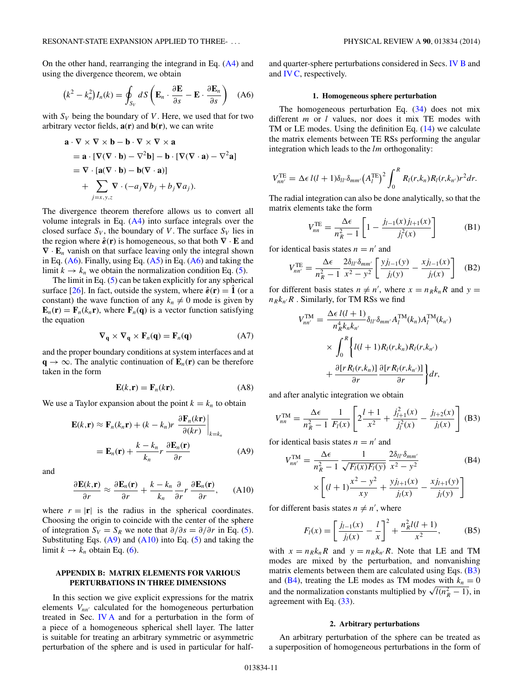<span id="page-10-0"></span>On the other hand, rearranging the integrand in Eq. [\(A4\)](#page-9-0) and using the divergence theorem, we obtain

$$
(k2 - kn2)In(k) = \oint_{S_V} dS \left(\mathbf{E}_n \cdot \frac{\partial \mathbf{E}}{\partial s} - \mathbf{E} \cdot \frac{\partial \mathbf{E}_n}{\partial s}\right) \quad (A6)
$$

with  $S_V$  being the boundary of *V*. Here, we used that for two arbitrary vector fields, **a**(**r**) and **b**(**r**), we can write

$$
\mathbf{a} \cdot \nabla \times \nabla \times \mathbf{b} - \mathbf{b} \cdot \nabla \times \nabla \times \mathbf{a}
$$
  
=  $\mathbf{a} \cdot [\nabla(\nabla \cdot \mathbf{b}) - \nabla^2 \mathbf{b}] - \mathbf{b} \cdot [\nabla(\nabla \cdot \mathbf{a}) - \nabla^2 \mathbf{a}]$   
=  $\nabla \cdot [\mathbf{a}(\nabla \cdot \mathbf{b}) - \mathbf{b}(\nabla \cdot \mathbf{a})]$   
+  $\sum_{j=x,y,z} \nabla \cdot (-a_j \nabla b_j + b_j \nabla a_j).$ 

The divergence theorem therefore allows us to convert all volume integrals in Eq. [\(A4\)](#page-9-0) into surface integrals over the closed surface  $S_V$ , the boundary of *V*. The surface  $S_V$  lies in the region where  $\hat{\epsilon}(\mathbf{r})$  is homogeneous, so that both  $\nabla \cdot \mathbf{E}$  and  $\nabla \cdot \mathbf{E}_n$  vanish on that surface leaving only the integral shown in Eq.  $(A6)$ . Finally, using Eq.  $(A5)$  in Eq.  $(A6)$  and taking the limit  $k \to k_n$  we obtain the normalization condition Eq. [\(5\)](#page-1-0).

The limit in Eq. [\(5\)](#page-1-0) can be taken explicitly for any spherical surface [\[26\]](#page-13-0). In fact, outside the system, where  $\hat{\epsilon}(\mathbf{r}) = 1$  (or a constant) the wave function of any  $k_n \neq 0$  mode is given by  $\mathbf{E}_n(\mathbf{r}) = \mathbf{F}_n(k_n \mathbf{r})$ , where  $\mathbf{F}_n(\mathbf{q})$  is a vector function satisfying the equation

$$
\nabla_{\mathbf{q}} \times \nabla_{\mathbf{q}} \times \mathbf{F}_n(\mathbf{q}) = \mathbf{F}_n(\mathbf{q})
$$
 (A7)

and the proper boundary conditions at system interfaces and at  $\mathbf{q} \to \infty$ . The analytic continuation of  $\mathbf{E}_n(\mathbf{r})$  can be therefore taken in the form

$$
\mathbf{E}(k, \mathbf{r}) = \mathbf{F}_n(k\mathbf{r}).
$$
 (A8)

We use a Taylor expansion about the point  $k = k_n$  to obtain

$$
\mathbf{E}(k, \mathbf{r}) \approx \mathbf{F}_n(k_n \mathbf{r}) + (k - k_n)r \left. \frac{\partial \mathbf{F}_n(k\mathbf{r})}{\partial (kr)} \right|_{k=k_n}
$$
\n
$$
= \mathbf{E}_n(\mathbf{r}) + \frac{k - k_n}{k_n}r \left. \frac{\partial \mathbf{E}_n(\mathbf{r})}{\partial r} \right| \tag{A9}
$$

and

$$
\frac{\partial \mathbf{E}(k,\mathbf{r})}{\partial r} \approx \frac{\partial \mathbf{E}_n(\mathbf{r})}{\partial r} + \frac{k - k_n}{k_n} \frac{\partial}{\partial r} r \frac{\partial \mathbf{E}_n(\mathbf{r})}{\partial r}, \quad \text{(A10)}
$$

where  $r = |\mathbf{r}|$  is the radius in the spherical coordinates. Choosing the origin to coincide with the center of the sphere of integration  $S_V = S_R$  we note that  $\partial/\partial s = \partial/\partial r$  in Eq. [\(5\)](#page-1-0). Substituting Eqs.  $(A9)$  and  $(A10)$  into Eq.  $(5)$  and taking the limit  $k \to k_n$  obtain Eq. [\(6\)](#page-1-0).

## **APPENDIX B: MATRIX ELEMENTS FOR VARIOUS PERTURBATIONS IN THREE DIMENSIONS**

In this section we give explicit expressions for the matrix elements  $V_{nn'}$  calculated for the homogeneous perturbation treated in Sec. [IV A](#page-3-0) and for a perturbation in the form of a piece of a homogeneous spherical shell layer. The latter is suitable for treating an arbitrary symmetric or asymmetric perturbation of the sphere and is used in particular for halfand quarter-sphere perturbations considered in Secs. [IV B](#page-5-0) and and [IV C,](#page-5-0) respectively.

### **1. Homogeneous sphere perturbation**

The homogeneous perturbation Eq. [\(34\)](#page-3-0) does not mix different *m* or *l* values, nor does it mix TE modes with TM or LE modes. Using the definition Eq. [\(14\)](#page-2-0) we calculate the matrix elements between TE RSs performing the angular integration which leads to the *lm* orthogonality:

$$
V_{nn'}^{\text{TE}} = \Delta \epsilon \, l(l+1) \delta_{ll'} \delta_{mm'} \big(A_l^{\text{TE}}\big)^2 \int_0^R R_l(r, k_n) R_l(r, k_{n'}) r^2 dr.
$$

The radial integration can also be done analytically, so that the matrix elements take the form

$$
V_{nn}^{\text{TE}} = \frac{\Delta \epsilon}{n_R^2 - 1} \left[ 1 - \frac{j_{l-1}(x)j_{l+1}(x)}{j_l^2(x)} \right]
$$
(B1)

for identical basis states  $n = n'$  and

$$
V_{nn'}^{\text{TE}} = \frac{\Delta \epsilon}{n_R^2 - 1} \frac{2\delta_{ll'} \delta_{mm'}}{x^2 - y^2} \left[ \frac{yj_{l-1}(y)}{j_l(y)} - \frac{xj_{l-1}(x)}{j_l(x)} \right] \quad (B2)
$$

for different basis states  $n \neq n'$ , where  $x = n_R k_n R$  and  $y =$  $n_R k_{n'} R$ . Similarly, for TM RSs we find

$$
V_{nn'}^{\text{TM}} = \frac{\Delta \epsilon \, l(l+1)}{n_R^4 k_n k_{n'}} \delta_{ll'} \delta_{mm'} A_l^{\text{TM}}(k_n) A_l^{\text{TM}}(k_{n'})
$$

$$
\times \int_0^R \left\{ l(l+1) R_l(r, k_n) R_l(r, k_{n'}) \right\}
$$

$$
+ \frac{\partial [r R_l(r, k_n)]}{\partial r} \frac{\partial [r R_l(r, k_{n'})]}{\partial r} \right\} dr,
$$

and after analytic integration we obtain

$$
V_{nn}^{\text{TM}} = \frac{\Delta \epsilon}{n_R^2 - 1} \frac{1}{F_l(x)} \left[ 2 \frac{l+1}{x^2} + \frac{j_{l+1}^2(x)}{j_l^2(x)} - \frac{j_{l+2}(x)}{j_l(x)} \right] \text{ (B3)}
$$

for identical basis states  $n = n'$  and

$$
V_{nn'}^{\text{TM}} = \frac{\Delta \epsilon}{n_R^2 - 1} \frac{1}{\sqrt{F_l(x)F_l(y)}} \frac{2\delta_{ll'}\delta_{mm'}}{x^2 - y^2} \times \left[ (l+1)\frac{x^2 - y^2}{xy} + \frac{yj_{l+1}(x)}{j_l(x)} - \frac{xj_{l+1}(y)}{j_l(y)} \right]
$$

for different basis states  $n \neq n'$ , where

$$
F_l(x) = \left[\frac{j_{l-1}(x)}{j_l(x)} - \frac{l}{x}\right]^2 + \frac{n_R^2 l(l+1)}{x^2},
$$
 (B5)

with  $x = n_R k_n R$  and  $y = n_R k_{n'} R$ . Note that LE and TM modes are mixed by the perturbation, and nonvanishing matrix elements between them are calculated using Eqs. (B3) and (B4), treating the LE modes as TM modes with  $k_n = 0$ and the normalization constants multiplied by  $\sqrt{l(n_R^2 - 1)}$ , in agreement with Eq. [\(33\)](#page-3-0).

#### **2. Arbitrary perturbations**

An arbitrary perturbation of the sphere can be treated as a superposition of homogeneous perturbations in the form of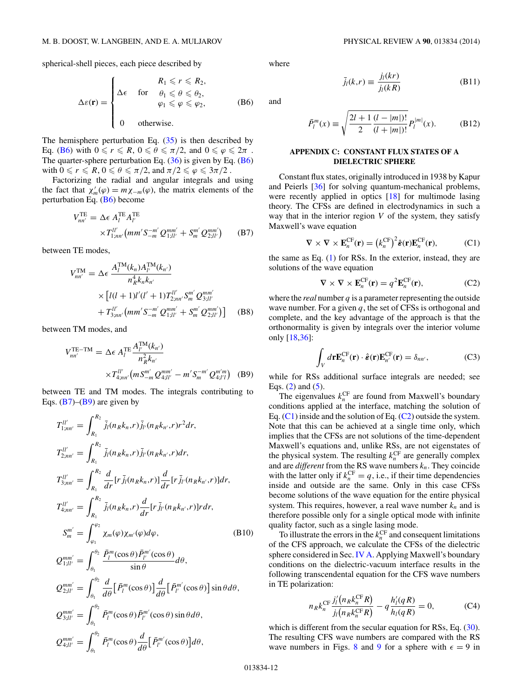<span id="page-11-0"></span>spherical-shell pieces, each piece described by

$$
\Delta \varepsilon(\mathbf{r}) = \begin{cases}\nR_1 \leq r \leq R_2, \\
\Delta \varepsilon \quad \text{for} \quad \theta_1 \leq \theta \leq \theta_2, \\
\varphi_1 \leq \varphi \leq \varphi_2, \\
0 \quad \text{otherwise.} \n\end{cases}
$$
\n(B6)

The hemisphere perturbation Eq.  $(35)$  is then described by Eq. (B6) with  $0 \le r \le R$ ,  $0 \le \theta \le \pi/2$ , and  $0 \le \varphi \le 2\pi$ . The quarter-sphere perturbation Eq.  $(36)$  is given by Eq.  $(B6)$ with  $0 \leqslant r \leqslant R$ ,  $0 \leqslant \theta \leqslant \pi/2$ , and  $\pi/2 \leqslant \varphi \leqslant 3\pi/2$ .

Factorizing the radial and angular integrals and using the fact that  $\chi'_m(\varphi) = m\chi_{-m}(\varphi)$ , the matrix elements of the perturbation Eq. (B6) become

$$
V_{nn'}^{\text{TE}} = \Delta \epsilon \ A_l^{\text{TE}} A_l^{\text{TE}} \times T_{1;nn'}^{ll'} (mm' S_{-m}^{-m'} Q_{1;l'}^{mm'} + S_m^{m'} Q_{2;l'}^{mm'}) \qquad (B7)
$$

between TE modes,

$$
V_{nn'}^{\text{TM}} = \Delta \epsilon \frac{A_l^{\text{TM}}(k_n) A_l^{\text{TM}}(k_{n'})}{n_R^4 k_n k_{n'}}
$$
  
 
$$
\times [l(l+1)l'(l'+1)T_{2;nn'}^{ll'} S_m^{m'} Q_{3;l'}^{mm'} + T_{3;nn'}^{ll'} (mm' S_{-m}^{-m'} Q_{1;l'}^{mm'} + S_m^{m'} Q_{2;l'}^{mm'})]
$$
 (B8)

between TM modes, and

$$
V_{nn'}^{\text{TE-TM}} = \Delta \epsilon \, A_l^{\text{TE}} \frac{A_l^{\text{TM}}(k_{n'})}{n_R^2 k_{n'}}
$$

$$
\times T_{4;nn'}^{ll'} \left( m S_{-m}^{m'} Q_{4;l'}^{mm'} - m' S_m^{-m'} Q_{4;l'}^{m'm} \right) \quad \text{(B9)}
$$

between TE and TM modes. The integrals contributing to Eqs.  $(B7)$ – $(B9)$  are given by

$$
T_{1;nn'}^{ll'} = \int_{R_1}^{R_2} \bar{j}_l(n_Rk_n, r) \bar{j}_{l'}(n_Rk_{n'}, r) r^2 dr,
$$
  
\n
$$
T_{2;nn'}^{ll'} = \int_{R_1}^{R_2} \bar{j}_l(n_Rk_n, r) \bar{j}_{l'}(n_Rk_{n'}, r) dr,
$$
  
\n
$$
T_{3;nn'}^{ll'} = \int_{R_1}^{R_2} \frac{d}{dr} [r \bar{j}_l(n_Rk_n, r)] \frac{d}{dr} [r \bar{j}_{l'}(n_Rk_{n'}, r)] dr,
$$
  
\n
$$
T_{4;nn'}^{ll'} = \int_{R_1}^{R_2} \bar{j}_l(n_Rk_n, r) \frac{d}{dr} [r \bar{j}_{l'}(n_Rk_{n'}, r)] r dr,
$$
  
\n
$$
S_m^{m'} = \int_{\varphi_1}^{\varphi_2} \chi_m(\varphi) \chi_{m'}(\varphi) d\varphi,
$$
  
\n
$$
Q_{1;ll'}^{mm'} = \int_{\theta_1}^{\theta_2} \frac{\bar{P}_l^m(\cos \theta) \bar{P}_l^m(\cos \theta)}{\sin \theta} d\theta,
$$
  
\n
$$
Q_{2;ll'}^{mm'} = \int_{\theta_1}^{\theta_2} \frac{d}{d\theta} [\bar{P}_l^m(\cos \theta)] \frac{d}{d\theta} [\bar{P}_l^m(\cos \theta)] \sin \theta d\theta,
$$
  
\n
$$
Q_{3;ll'}^{mm'} = \int_{\theta_1}^{\theta_2} \bar{P}_l^m(\cos \theta) \bar{P}_l^m(\cos \theta) \sin \theta d\theta,
$$
  
\n
$$
Q_{3;ll'}^{mm'} = \int_{\theta_1}^{\theta_2} \bar{P}_l^m(\cos \theta) \frac{d}{d\theta} [\bar{P}_l^m(\cos \theta)] d\theta,
$$
  
\n
$$
Q_{4;ll'}^{mm'} = \int_{\theta_1}^{\theta_2} \bar{P}_l^m(\cos \theta) \frac{d}{d\theta} [\bar{P}_l^m(\cos \theta)] d\theta,
$$

 $\bar{j}_l(k,r) \equiv \frac{j_l(kr)}{j_l(kR)}$  (B11)

where

and

$$
\bar{P}_l^m(x) \equiv \sqrt{\frac{2l+1}{2} \frac{(l-|m|)!}{(l+|m|)!}} P_l^{|m|}(x).
$$
 (B12)

## **APPENDIX C: CONSTANT FLUX STATES OF A DIELECTRIC SPHERE**

Constant flux states, originally introduced in 1938 by Kapur and Peierls [\[36\]](#page-13-0) for solving quantum-mechanical problems, were recently applied in optics [\[18\]](#page-13-0) for multimode lasing theory. The CFSs are defined in electrodynamics in such a way that in the interior region *V* of the system, they satisfy Maxwell's wave equation

$$
\nabla \times \nabla \times \mathbf{E}_n^{\text{CF}}(\mathbf{r}) = (k_n^{\text{CF}})^2 \hat{\mathbf{\varepsilon}}(\mathbf{r}) \mathbf{E}_n^{\text{CF}}(\mathbf{r}), \tag{C1}
$$

the same as Eq.  $(1)$  for RSs. In the exterior, instead, they are solutions of the wave equation

$$
\nabla \times \nabla \times \mathbf{E}_n^{\text{CF}}(\mathbf{r}) = q^2 \mathbf{E}_n^{\text{CF}}(\mathbf{r}),\tag{C2}
$$

where the *real* number *q* is a parameter representing the outside wave number. For a given  $q$ , the set of CFSs is orthogonal and complete, and the key advantage of the approach is that the orthonormality is given by integrals over the interior volume only [\[18,36\]](#page-13-0):

$$
\int_{V} d\mathbf{r} \mathbf{E}_{n}^{\mathrm{CF}}(\mathbf{r}) \cdot \hat{\mathbf{\varepsilon}}(\mathbf{r}) \mathbf{E}_{n'}^{\mathrm{CF}}(\mathbf{r}) = \delta_{nn'}, \tag{C3}
$$

while for RSs additional surface integrals are needed; see Eqs.  $(2)$  and  $(5)$ .

The eigenvalues  $k_n^{\text{CF}}$  are found from Maxwell's boundary conditions applied at the interface, matching the solution of Eq.  $(C1)$  inside and the solution of Eq.  $(C2)$  outside the system. Note that this can be achieved at a single time only, which implies that the CFSs are not solutions of the time-dependent Maxwell's equations and, unlike RSs, are not eigenstates of the physical system. The resulting  $k_n^{\text{CF}}$  are generally complex and are *different* from the RS wave numbers  $k_n$ . They coincide with the latter only if  $k_n^{\text{CF}} = q$ , i.e., if their time dependencies inside and outside are the same. Only in this case CFSs become solutions of the wave equation for the entire physical system. This requires, however, a real wave number  $k_n$  and is therefore possible only for a single optical mode with infinite quality factor, such as a single lasing mode.

To illustrate the errors in the  $k_n^{\text{CF}}$  and consequent limitations of the CFS approach, we calculate the CFSs of the dielectric sphere considered in Sec. [IV A.](#page-3-0) Applying Maxwell's boundary conditions on the dielectric-vacuum interface results in the following transcendental equation for the CFS wave numbers in TE polarization:

$$
n_R k_n^{\text{CF}} \frac{j_l'(n_R k_n^{\text{CF}} R)}{j_l(n_R k_n^{\text{CF}} R)} - q \frac{h_l'(q R)}{h_l(q R)} = 0,
$$
 (C4)

which is different from the secular equation for RSs, Eq.  $(30)$ . The resulting CFS wave numbers are compared with the RS wave numbers in Figs. [8](#page-12-0) and [9](#page-12-0) for a sphere with  $\epsilon = 9$  in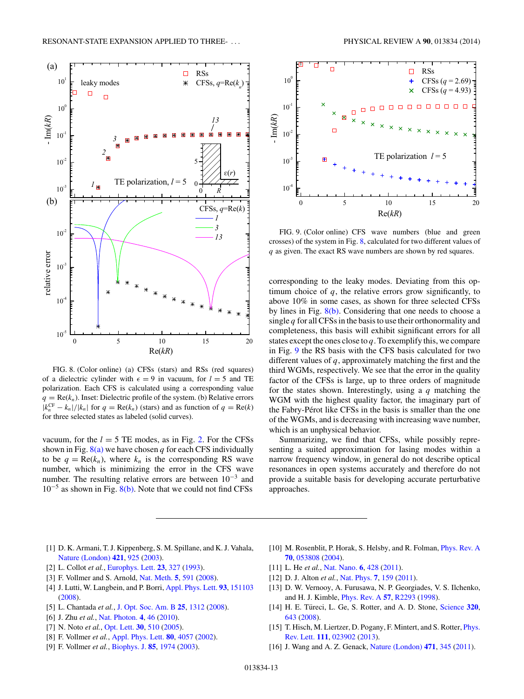<span id="page-12-0"></span>

FIG. 8. (Color online) (a) CFSs (stars) and RSs (red squares) of a dielectric cylinder with  $\epsilon = 9$  in vacuum, for  $l = 5$  and TE polarization. Each CFS is calculated using a corresponding value  $q = \text{Re}(k_n)$ . Inset: Dielectric profile of the system. (b) Relative errors  $|k_n^{\text{CF}} - k_n|/|k_n|$  for  $q = \text{Re}(k_n)$  (stars) and as function of  $q = \text{Re}(k)$ for three selected states as labeled (solid curves).

vacuum, for the  $l = 5$  TE modes, as in Fig. [2.](#page-4-0) For the CFSs shown in Fig.  $8(a)$  we have chosen *q* for each CFS individually to be  $q = \text{Re}(k_n)$ , where  $k_n$  is the corresponding RS wave number, which is minimizing the error in the CFS wave number. The resulting relative errors are between 10<sup>-3</sup> and  $10^{-5}$  as shown in Fig.  $8(b)$ . Note that we could not find CFSs



FIG. 9. (Color online) CFS wave numbers (blue and green crosses) of the system in Fig. 8, calculated for two different values of *q* as given. The exact RS wave numbers are shown by red squares.

corresponding to the leaky modes. Deviating from this optimum choice of  $q$ , the relative errors grow significantly, to above 10% in some cases, as shown for three selected CFSs by lines in Fig. 8(b). Considering that one needs to choose a single *q* for all CFSs in the basis to use their orthonormality and completeness, this basis will exhibit significant errors for all states except the ones close to *q*. To exemplify this, we compare in Fig. 9 the RS basis with the CFS basis calculated for two different values of *q*, approximately matching the first and the third WGMs, respectively. We see that the error in the quality factor of the CFSs is large, up to three orders of magnitude for the states shown. Interestingly, using a *q* matching the WGM with the highest quality factor, the imaginary part of the Fabry-Pérot like CFSs in the basis is smaller than the one of the WGMs, and is decreasing with increasing wave number, which is an unphysical behavior.

Summarizing, we find that CFSs, while possibly representing a suited approximation for lasing modes within a narrow frequency window, in general do not describe optical resonances in open systems accurately and therefore do not provide a suitable basis for developing accurate perturbative approaches.

- [1] D. K. Armani, T. J. Kippenberg, S. M. Spillane, and K. J. Vahala, [Nature \(London\)](http://dx.doi.org/10.1038/nature01371) **[421](http://dx.doi.org/10.1038/nature01371)**, [925](http://dx.doi.org/10.1038/nature01371) [\(2003\)](http://dx.doi.org/10.1038/nature01371).
- [2] L. Collot *et al.*, [Europhys. Lett.](http://dx.doi.org/10.1209/0295-5075/23/5/005) **[23](http://dx.doi.org/10.1209/0295-5075/23/5/005)**, [327](http://dx.doi.org/10.1209/0295-5075/23/5/005) [\(1993\)](http://dx.doi.org/10.1209/0295-5075/23/5/005).
- [3] F. Vollmer and S. Arnold, [Nat. Meth.](http://dx.doi.org/10.1038/nmeth.1221) **[5](http://dx.doi.org/10.1038/nmeth.1221)**, [591](http://dx.doi.org/10.1038/nmeth.1221) [\(2008\)](http://dx.doi.org/10.1038/nmeth.1221).
- [4] J. Lutti, W. Langbein, and P. Borri, [Appl. Phys. Lett.](http://dx.doi.org/10.1063/1.2998652) **[93](http://dx.doi.org/10.1063/1.2998652)**, [151103](http://dx.doi.org/10.1063/1.2998652) [\(2008\)](http://dx.doi.org/10.1063/1.2998652).
- [5] L. Chantada *et al.*, [J. Opt. Soc. Am. B](http://dx.doi.org/10.1364/JOSAB.25.001312) **[25](http://dx.doi.org/10.1364/JOSAB.25.001312)**, [1312](http://dx.doi.org/10.1364/JOSAB.25.001312) [\(2008\)](http://dx.doi.org/10.1364/JOSAB.25.001312).
- [6] J. Zhu *et al.*, [Nat. Photon.](http://dx.doi.org/10.1038/nphoton.2009.237) **[4](http://dx.doi.org/10.1038/nphoton.2009.237)**, [46](http://dx.doi.org/10.1038/nphoton.2009.237) [\(2010\)](http://dx.doi.org/10.1038/nphoton.2009.237).
- [7] N. Noto *et al.*, [Opt. Lett.](http://dx.doi.org/10.1364/OL.30.000510) **[30](http://dx.doi.org/10.1364/OL.30.000510)**, [510](http://dx.doi.org/10.1364/OL.30.000510) [\(2005\)](http://dx.doi.org/10.1364/OL.30.000510).
- [8] F. Vollmer *et al.*, [Appl. Phys. Lett.](http://dx.doi.org/10.1063/1.1482797) **[80](http://dx.doi.org/10.1063/1.1482797)**, [4057](http://dx.doi.org/10.1063/1.1482797) [\(2002\)](http://dx.doi.org/10.1063/1.1482797).
- [9] F. Vollmer *et al.*, [Biophys. J.](http://dx.doi.org/10.1016/S0006-3495(03)74625-6) **[85](http://dx.doi.org/10.1016/S0006-3495(03)74625-6)**, [1974](http://dx.doi.org/10.1016/S0006-3495(03)74625-6) [\(2003\)](http://dx.doi.org/10.1016/S0006-3495(03)74625-6).
- [10] M. Rosenblit, P. Horak, S. Helsby, and R. Folman, *[Phys. Rev. A](http://dx.doi.org/10.1103/PhysRevA.70.053808)* **[70](http://dx.doi.org/10.1103/PhysRevA.70.053808)**, [053808](http://dx.doi.org/10.1103/PhysRevA.70.053808) [\(2004\)](http://dx.doi.org/10.1103/PhysRevA.70.053808).
- [11] L. He *et al.*, [Nat. Nano.](http://dx.doi.org/10.1038/nnano.2011.99) **[6](http://dx.doi.org/10.1038/nnano.2011.99)**, [428](http://dx.doi.org/10.1038/nnano.2011.99) [\(2011\)](http://dx.doi.org/10.1038/nnano.2011.99).
- [12] D. J. Alton *et al.*, [Nat. Phys.](http://dx.doi.org/10.1038/nphys1837) **[7](http://dx.doi.org/10.1038/nphys1837)**, [159](http://dx.doi.org/10.1038/nphys1837) [\(2011\)](http://dx.doi.org/10.1038/nphys1837).
- [13] D. W. Vernooy, A. Furusawa, N. P. Georgiades, V. S. Ilchenko, and H. J. Kimble, [Phys. Rev. A](http://dx.doi.org/10.1103/PhysRevA.57.R2293) **[57](http://dx.doi.org/10.1103/PhysRevA.57.R2293)**, [R2293](http://dx.doi.org/10.1103/PhysRevA.57.R2293) [\(1998\)](http://dx.doi.org/10.1103/PhysRevA.57.R2293).
- [14] H. E. Türeci, L. Ge, S. Rotter, and A. D. Stone, *[Science](http://dx.doi.org/10.1126/science.1155311)* [320](http://dx.doi.org/10.1126/science.1155311), [643](http://dx.doi.org/10.1126/science.1155311) [\(2008\)](http://dx.doi.org/10.1126/science.1155311).
- [15] [T. Hisch, M. Liertzer, D. Pogany, F. Mintert, and S. Rotter,](http://dx.doi.org/10.1103/PhysRevLett.111.023902) *Phys.* Rev. Lett. **[111](http://dx.doi.org/10.1103/PhysRevLett.111.023902)**, [023902](http://dx.doi.org/10.1103/PhysRevLett.111.023902) [\(2013\)](http://dx.doi.org/10.1103/PhysRevLett.111.023902).
- [16] J. Wang and A. Z. Genack, [Nature \(London\)](http://dx.doi.org/10.1038/nature09824) **[471](http://dx.doi.org/10.1038/nature09824)**, [345](http://dx.doi.org/10.1038/nature09824) [\(2011\)](http://dx.doi.org/10.1038/nature09824).